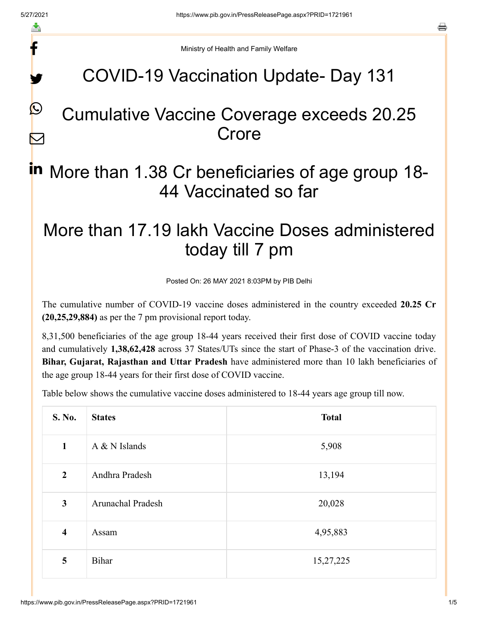f

y.

 $\mathcal{Q}$ 

 $\boldsymbol{\nabla}$ 

a

Ministry of Health and Family Welfare

## COVID-19 Vaccination Update- Day 131

## Cumulative Vaccine Coverage exceeds 20.25 **Crore**

# in More than 1.38 Cr beneficiaries of age group 18-44 Vaccinated so far

## More than 17.19 lakh Vaccine Doses administered today till 7 pm

Posted On: 26 MAY 2021 8:03PM by PIB Delhi

The cumulative number of COVID-19 vaccine doses administered in the country exceeded **20.25 Cr (20,25,29,884)** as per the 7 pm provisional report today.

8,31,500 beneficiaries of the age group 18-44 years received their first dose of COVID vaccine today and cumulatively **1,38,62,428** across 37 States/UTs since the start of Phase-3 of the vaccination drive. **Bihar, Gujarat, Rajasthan and Uttar Pradesh** have administered more than 10 lakh beneficiaries of the age group 18-44 years for their first dose of COVID vaccine.

Table below shows the cumulative vaccine doses administered to 18-44 years age group till now.

| S. No.                  | <b>States</b>            | <b>Total</b> |
|-------------------------|--------------------------|--------------|
| $\mathbf{1}$            | $A & N$ Islands          | 5,908        |
| $\overline{2}$          | Andhra Pradesh           | 13,194       |
| $\mathbf{3}$            | <b>Arunachal Pradesh</b> | 20,028       |
| $\overline{\mathbf{4}}$ | Assam                    | 4,95,883     |
| 5                       | Bihar                    | 15,27,225    |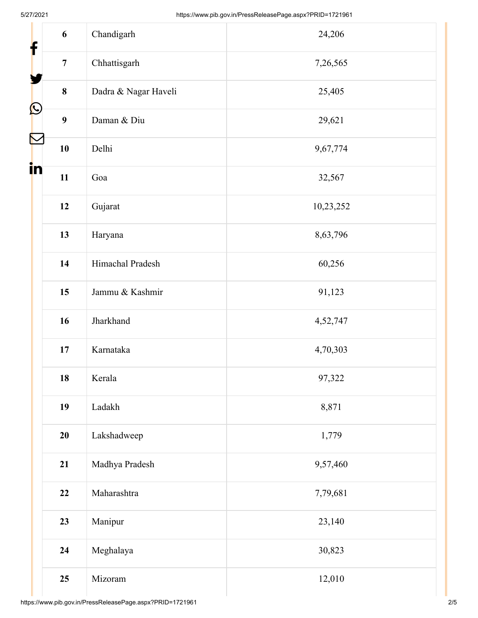| 6<br>$\mathbf f$               | Chandigarh           | 24,206    |
|--------------------------------|----------------------|-----------|
| $\overline{7}$                 | Chhattisgarh         | 7,26,565  |
| $\bf 8$                        | Dadra & Nagar Haveli | 25,405    |
| $\bigcirc$<br>$\boldsymbol{9}$ | Daman & Diu          | 29,621    |
| $\blacktriangledown$<br>10     | Delhi                | 9,67,774  |
| in<br>11                       | Goa                  | 32,567    |
| 12                             | Gujarat              | 10,23,252 |
| 13                             | Haryana              | 8,63,796  |
| 14                             | Himachal Pradesh     | 60,256    |
| 15                             | Jammu & Kashmir      | 91,123    |
| 16                             | Jharkhand            | 4,52,747  |
| 17                             | Karnataka            | 4,70,303  |
| 18                             | Kerala               | 97,322    |
| 19                             | Ladakh               | 8,871     |
| 20                             | Lakshadweep          | 1,779     |
| 21                             | Madhya Pradesh       | 9,57,460  |
| 22                             | Maharashtra          | 7,79,681  |
| 23                             | Manipur              | 23,140    |
| 24                             | Meghalaya            | 30,823    |
| 25                             | Mizoram              | 12,010    |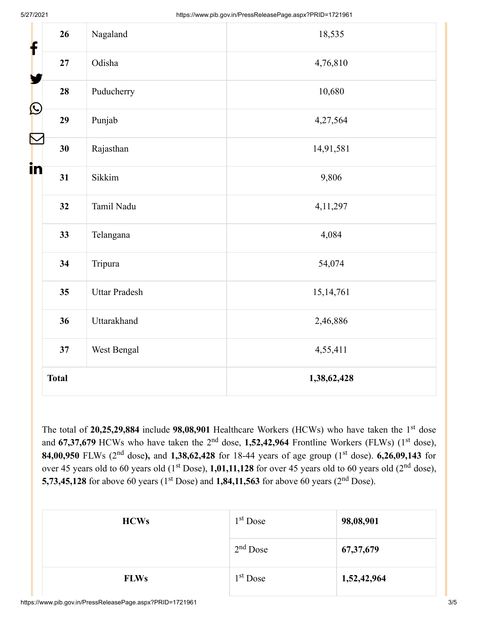| f                | 26           | Nagaland             | 18,535      |  |
|------------------|--------------|----------------------|-------------|--|
|                  | 27           | Odisha               | 4,76,810    |  |
|                  | 28           | Puducherry           | 10,680      |  |
| $\bigcirc$       | 29           | Punjab               | 4,27,564    |  |
| $\sum_{i=1}^{n}$ | 30           | Rajasthan            | 14,91,581   |  |
| in               | 31           | Sikkim               | 9,806       |  |
|                  | 32           | Tamil Nadu           | 4, 11, 297  |  |
|                  | 33           | Telangana            | 4,084       |  |
|                  | 34           | Tripura              | 54,074      |  |
|                  | 35           | <b>Uttar Pradesh</b> | 15, 14, 761 |  |
|                  | 36           | Uttarakhand          | 2,46,886    |  |
|                  | 37           | West Bengal          | 4,55,411    |  |
|                  | <b>Total</b> |                      | 1,38,62,428 |  |

The total of 20,25,29,884 include 98,08,901 Healthcare Workers (HCWs) who have taken the 1<sup>st</sup> dose and 67,37,679 HCWs who have taken the 2<sup>nd</sup> dose, 1,52,42,964 Frontline Workers (FLWs) (1<sup>st</sup> dose), **84,00,950** FLWs (2<sup>nd</sup> dose), and 1,38,62,428 for 18-44 years of age group (1<sup>st</sup> dose). 6,26,09,143 for over 45 years old to 60 years old  $(1^{st}$  Dose),  $1,01,11,128$  for over 45 years old to 60 years old  $(2^{nd}$  dose), **5,73,45,128** for above 60 years (1<sup>st</sup> Dose) and **1,84,11,563** for above 60 years (2<sup>nd</sup> Dose).

| <b>HCWs</b> | $1st$ Dose           | 98,08,901   |
|-------------|----------------------|-------------|
|             | $2nd$ Dose           | 67, 37, 679 |
| <b>FLWs</b> | 1 <sup>st</sup> Dose | 1,52,42,964 |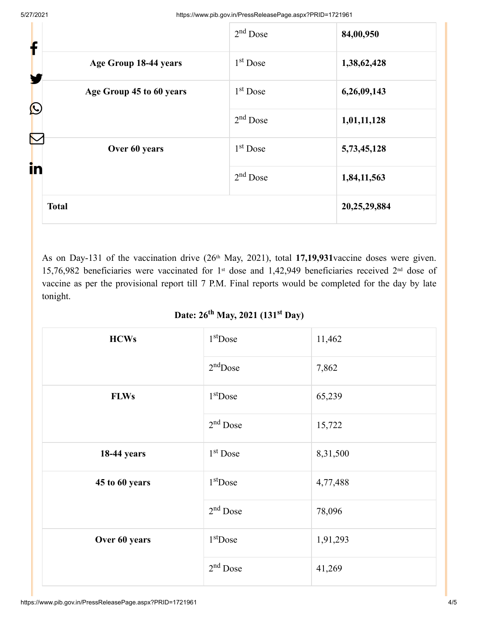| f                                        | $2nd$ Dose | 84,00,950    |
|------------------------------------------|------------|--------------|
| Age Group 18-44 years<br>У               | $1st$ Dose | 1,38,62,428  |
| Age Group 45 to 60 years<br>$\bf \Omega$ | $1st$ Dose | 6,26,09,143  |
|                                          | $2nd$ Dose | 1,01,11,128  |
| $\color{red}\sum$<br>Over 60 years       | $1st$ Dose | 5,73,45,128  |
| in                                       | $2nd$ Dose | 1,84,11,563  |
| <b>Total</b>                             |            | 20,25,29,884 |

As on Day-131 of the vaccination drive (26<sup>th</sup> May, 2021), total 17,19,931 vaccine doses were given. 15,76,982 beneficiaries were vaccinated for 1<sup>st</sup> dose and 1,42,949 beneficiaries received 2<sup>nd</sup> dose of vaccine as per the provisional report till 7 P.M. Final reports would be completed for the day by late tonight.

#### Date: 26<sup>th</sup> May, 2021 (131<sup>st</sup> Day)

| <b>HCWs</b>        | $1st$ Dose | 11,462   |
|--------------------|------------|----------|
|                    | $2nd$ Dose | 7,862    |
| <b>FLWs</b>        | $1st$ Dose | 65,239   |
|                    | $2nd$ Dose | 15,722   |
| <b>18-44 years</b> | $1st$ Dose | 8,31,500 |
| 45 to 60 years     | $1st$ Dose | 4,77,488 |
|                    | $2nd$ Dose | 78,096   |
| Over 60 years      | $1st$ Dose | 1,91,293 |
|                    | $2nd$ Dose | 41,269   |